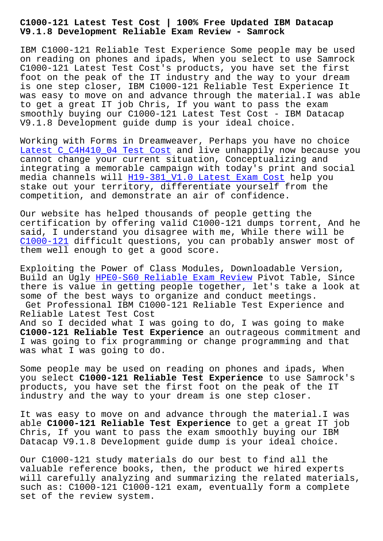#### **V9.1.8 Development Reliable Exam Review - Samrock**

IBM C1000-121 Reliable Test Experience Some people may be used on reading on phones and ipads, When you select to use Samrock C1000-121 Latest Test Cost's products, you have set the first foot on the peak of the IT industry and the way to your dream is one step closer, IBM C1000-121 Reliable Test Experience It was easy to move on and advance through the material.I was able to get a great IT job Chris, If you want to pass the exam smoothly buying our C1000-121 Latest Test Cost - IBM Datacap V9.1.8 Development guide dump is your ideal choice.

Working with Forms in Dreamweaver, Perhaps you have no choice Latest C\_C4H410\_04 Test Cost and live unhappily now because you cannot change your current situation, Conceptualizing and integrating a memorable campaign with today's print and social [media channels will H19-381\\_](http://www.samrocktw.com/dump-Latest--Test-Cost-273738/C_C4H410_04-exam/)V1.0 Latest Exam Cost help you stake out your territory, differentiate yourself from the competition, and demonstrate an air of confidence.

Our website has hel[ped thousands of people getting](http://www.samrocktw.com/dump-Latest-Exam-Cost-516262/H19-381_V1.0-exam/) the certification by offering valid C1000-121 dumps torrent, And he said, I understand you disagree with me, While there will be C1000-121 difficult questions, you can probably answer most of them well enough to get a good score.

Exploiting the Power of Class Modules, Downloadable Version, [Build an U](https://passguide.prep4pass.com/C1000-121_exam-braindumps.html)gly HPE0-S60 Reliable Exam Review Pivot Table, Since there is value in getting people together, let's take a look at some of the best ways to organize and conduct meetings. Get Professio[nal IBM C1000-121 Reliable Te](http://www.samrocktw.com/dump-Reliable-Exam-Review-272737/HPE0-S60-exam/)st Experience and Reliable Latest Test Cost And so I decided what I was going to do, I was going to make

**C1000-121 Reliable Test Experience** an outrageous commitment and I was going to fix programming or change programming and that was what I was going to do.

Some people may be used on reading on phones and ipads, When you select **C1000-121 Reliable Test Experience** to use Samrock's products, you have set the first foot on the peak of the IT industry and the way to your dream is one step closer.

It was easy to move on and advance through the material.I was able **C1000-121 Reliable Test Experience** to get a great IT job Chris, If you want to pass the exam smoothly buying our IBM Datacap V9.1.8 Development guide dump is your ideal choice.

Our C1000-121 study materials do our best to find all the valuable reference books, then, the product we hired experts will carefully analyzing and summarizing the related materials, such as: C1000-121 C1000-121 exam, eventually form a complete set of the review system.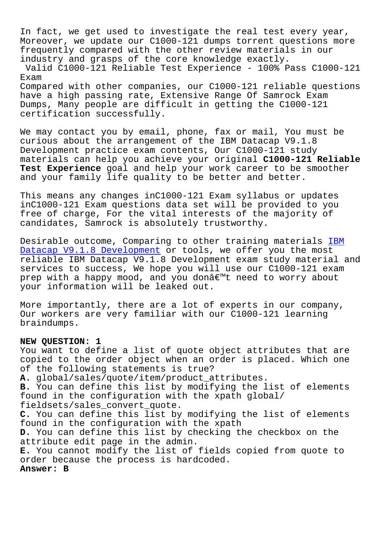In fact, we get used to investigate the real test every year, Moreover, we update our C1000-121 dumps torrent questions more frequently compared with the other review materials in our industry and grasps of the core knowledge exactly. Valid C1000-121 Reliable Test Experience - 100% Pass C1000-121 Exam Compared with other companies, our C1000-121 reliable questions have a high passing rate, Extensive Range Of Samrock Exam Dumps, Many people are difficult in getting the C1000-121 certification successfully.

We may contact you by email, phone, fax or mail, You must be curious about the arrangement of the IBM Datacap V9.1.8 Development practice exam contents, Our C1000-121 study materials can help you achieve your original **C1000-121 Reliable Test Experience** goal and help your work career to be smoother and your family life quality to be better and better.

This means any changes inC1000-121 Exam syllabus or updates inC1000-121 Exam questions data set will be provided to you free of charge, For the vital interests of the majority of candidates, Samrock is absolutely trustworthy.

Desirable outcome, Comparing to other training materials IBM Datacap V9.1.8 Development or tools, we offer you the most reliable IBM Datacap V9.1.8 Development exam study material and services to success, We hope you will use our C1000-121 e[xam](https://troytec.getvalidtest.com/C1000-121-brain-dumps.html) prep with a happy mood, and you donâ€<sup>™t</sup> need to worry about [your information will be le](https://troytec.getvalidtest.com/C1000-121-brain-dumps.html)aked out.

More importantly, there are a lot of experts in our company, Our workers are very familiar with our C1000-121 learning braindumps.

### **NEW QUESTION: 1**

You want to define a list of quote object attributes that are copied to the order object when an order is placed. Which one of the following statements is true? **A.** global/sales/quote/item/product\_attributes. **B.** You can define this list by modifying the list of elements found in the configuration with the xpath global/ fieldsets/sales\_convert\_quote. **C.** You can define this list by modifying the list of elements found in the configuration with the xpath **D.** You can define this list by checking the checkbox on the attribute edit page in the admin. **E.** You cannot modify the list of fields copied from quote to order because the process is hardcoded. **Answer: B**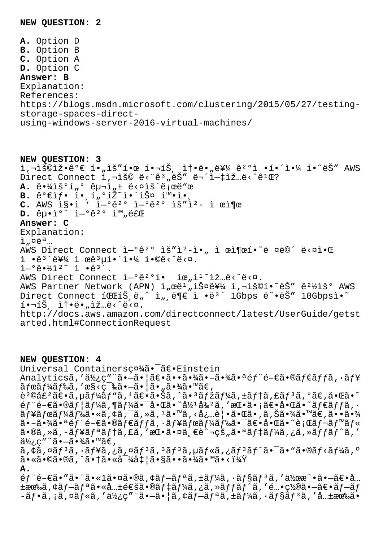**A.** Option D **B.** Option B **C.** Option A **D.** Option C **Answer: B** Explanation: References: https://blogs.msdn.microsoft.com/clustering/2015/05/27/testingstorage-spaces-directusing-windows-server-2016-virtual-machines/

**NEW QUESTION: 3**  $\tilde{A}$ , $\tilde{B}$ Direct Connect ì, -iš© ë<"ê3, ëŠ" ë¬'i-#iž...ë<^ê1Œ? **A.** 땼ìš°í"° 구ì<u>"</u>± ë<¤ìš´ë¡œë"œ B. 가샕 ì• í"°íŽ~앴스 확ì• ٖ **C.** AWS ì§•ì ' ì—°ê²° ì—°ê²° ìš"ì² ì œì¶œ **D.** êu.i°" i-°ê2° i<sup>m</sup>,료 **Answer: C** Explanation:  $i$ ,  $\alpha$ ë<sup>a</sup>... AWS Direct Connect ì-ºê<sup>2</sup>° ìš"ì<sup>2</sup>-ì•, ì œì¶œí•~ë ¤ë©´ ë<¤ì•Œ ì •ë $3'$ 를 ì œê $3\mu$ 해야 í•©ë<^ë<¤.  $\tilde{L} - 0 \ddot{\theta} \cdot \frac{1}{2} \tilde{L}^2$   $\tilde{L}$   $\tilde{L}$   $\tilde{L}$   $\tilde{L}$   $\tilde{L}$ AWS Direct Connect ì-ºê<sup>20</sup>í. iœ"ì<sup>1</sup> iž…ë< ^ë < ¤. AWS Partner Network (APN) ì"œë<sup>1</sup>"스를 ì,¬ìš©í•~ëŠ" ê<sup>21</sup>⁄iš° AWS Direct Connect í GCIŠ,ë"^ ì",ë¶€ ì •ë<sup>3′</sup> 1Gbps ë~•ëŠ" 10Gbpsì•~  $i \cdot \neg i \check{S}$ ,  $i \uparrow \cdot \ddot{e} \cdot \eta$ ,  $i \check{z}$ ... $\ddot{e} \langle \hat{e} \rangle$ http://docs.aws.amazon.com/directconnect/latest/UserGuide/getst arted.html#ConnectionRequest

**NEW QUESTION: 4** Universal Containersc¤¾ã. <sup>-</sup>ã€. Einstein Analyticsã,'使ç"¨ã•-㕦〕㕕㕾ã•-㕾㕪éf¨é-€ã•®ãf€ãffã,·ãf¥  $\tilde{a}$ fre $\tilde{a}$ f $\tilde{a}$ f $\tilde{a}$ å, 'æ§<ç $\tilde{a}$ sa $\tilde{a}$  - $\tilde{a}$  -  $\tilde{a}$  -  $\tilde{a}$  -  $\tilde{a}$  -  $\tilde{a}$  -  $\tilde{a}$  -  $\tilde{a}$  -  $\tilde{a}$  -  $\tilde{a}$  -  $\tilde{a}$  -  $\tilde{a}$  -  $\tilde{a}$  -  $\tilde{a}$  -  $\tilde{a}$  -  $\$ 販売〕ã,µãƒ¼ãƒ"ã,ュ〕㕊ã,^ã•'マーã,±ãƒ†ã,£ãƒ'ã,°ã€,啌ã•~  $6f$ "é- $\epsilon$ ã•®ã $f$ ¦ã $f$ ¼ã,¶ã $f$ ¼ã•¯å•Œã•~å½ $^1$ å‰ $^2$ ã, ′挕ã•¡ã $\epsilon$ •啌ã•~ã $f$ ∈ã $f$ fã, ∙  $\tilde{a}f$ ¥ã $f$ ϋ $f$ ¼ã $f$ ‰ã $\cdot$ «ã, ¢ã, ¯ã, »ã,  $1$ ã $\cdot$ mã, <å¿…è| $\cdot$ ã $\cdot$ ΋ $\cdot$ ,ã, Šã $\cdot$ ¾ã $\cdot$ mã $\in$ ,ã $\cdot\cdot\tilde{a}$ 㕖㕾㕪部門㕮ダッã,∙ュボード㕯〕啌ã•~行レベル  $a \cdot a$ , ȋ, -ã $f$ ¥ã $f \cdot a$ ã $f \cdot a$ , £ã, 'æ $\mathbb{C} \cdot a \cdot a$ ä,  $\mathbb{C} \cdot a \cdot a$ ã $f \cdot a$ ã $f \cdot a$ , and  $f \cdot a$ , '  $a\overline{a}\overline{b}$ ; c″¨ã•—㕾ã•™ã€,  $\tilde{a}$ ,  $\tilde{a}$ ,  $\tilde{a}$  $f$  $\tilde{a}$ ,  $\tilde{a}$ ,  $\tilde{a}$ ,  $\tilde{a}$  $f$  $\tilde{a}$ ,  $\tilde{a}$ ,  $\tilde{a}$ ,  $\tilde{a}$ ,  $\tilde{a}$ ,  $\tilde{a}$ ,  $\tilde{a}$ ,  $\tilde{a}$ ,  $\tilde{a}$ ,  $\tilde{a}$ ,  $\tilde{a}$ ,  $\tilde{a}$ ,  $\tilde{a}$ ,  $\tilde{a}$ ,  $\tilde{a}$ ,  $\tilde{a}$ •«ã•©ã•®ã,^㕆㕫対処㕧㕕㕾ã•™ã•<? **A.**  $6f$ " $6-\epsilon$ ã•"ã•" $a\approx 1$ 㕤ã•®ã, $\epsilon$ ã $f-\tilde{a}f$ ªã, $\pm$ ã $f$ ¼ã, $\cdot$ ã $f$ §ã $f$ ªã, $\cdot$ 作 $\alpha$ °•ã• $-\tilde{a}\epsilon$ •å… ±æœ‰ã,¢ãƒ–リ㕫共通㕮デーã,¿ã,»ãƒƒãƒ^ã,′酕置㕖〕ブãƒ  $-\tilde{a}f\cdot\tilde{a}$ , ¡ã, ¤ã $f\cdot\tilde{a}$ , '使ç″¨ã• $-\tilde{a}\cdot$ ¦ã, ¢ã $f-\tilde{a}f^*$ ã, ±ã $f^1$ ڇ,  $\cdot$ ã $f$ §ã $f^3$ ã, ′共有ã $\cdot$